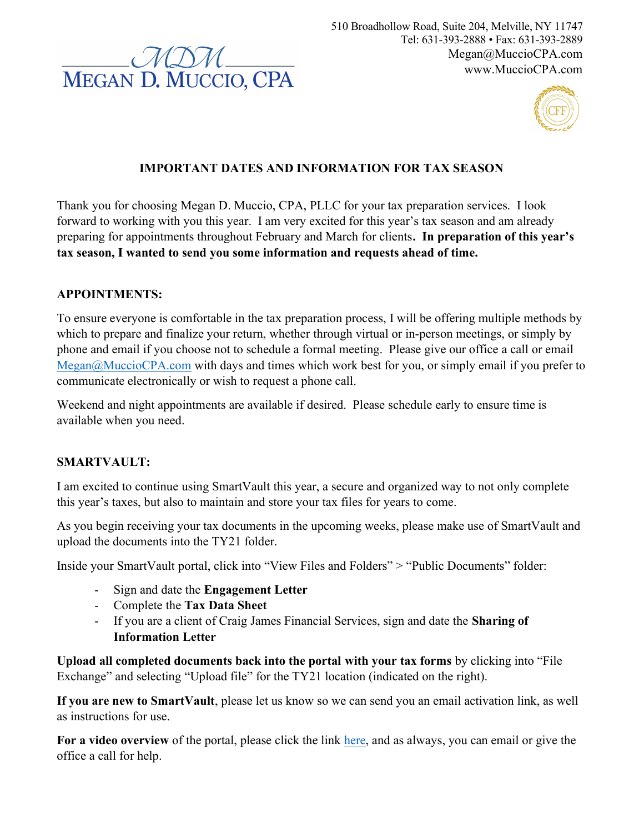

510 Broadhollow Road, Suite 204, Melville, NY 11747 Tel: 631-393-2888 • Fax: 631-393-2889 Megan@MuccioCPA.com www.MuccioCPA.com



## IMPORTANT DATES AND INFORMATION FOR TAX SEASON

Thank you for choosing Megan D. Muccio, CPA, PLLC for your tax preparation services. I look forward to working with you this year. I am very excited for this year's tax season and am already preparing for appointments throughout February and March for clients. In preparation of this year's tax season, I wanted to send you some information and requests ahead of time.

#### APPOINTMENTS:

To ensure everyone is comfortable in the tax preparation process, I will be offering multiple methods by which to prepare and finalize your return, whether through virtual or in-person meetings, or simply by phone and email if you choose not to schedule a formal meeting. Please give our office a call or email Megan@MuccioCPA.com with days and times which work best for you, or simply email if you prefer to communicate electronically or wish to request a phone call.

Weekend and night appointments are available if desired. Please schedule early to ensure time is available when you need.

### SMARTVAULT:

I am excited to continue using SmartVault this year, a secure and organized way to not only complete this year's taxes, but also to maintain and store your tax files for years to come.

As you begin receiving your tax documents in the upcoming weeks, please make use of SmartVault and upload the documents into the TY21 folder.

Inside your SmartVault portal, click into "View Files and Folders" > "Public Documents" folder:

- Sign and date the Engagement Letter
- Complete the Tax Data Sheet
- If you are a client of Craig James Financial Services, sign and date the **Sharing of** Information Letter

Upload all completed documents back into the portal with your tax forms by clicking into "File Exchange" and selecting "Upload file" for the TY21 location (indicated on the right).

If you are new to SmartVault, please let us know so we can send you an email activation link, as well as instructions for use.

For a video overview of the portal, please click the link here, and as always, you can email or give the office a call for help.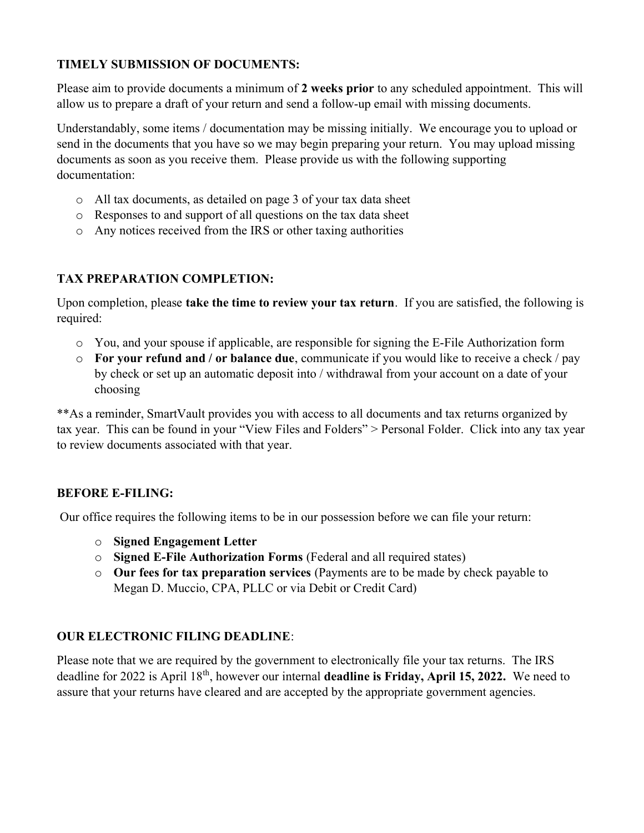## TIMELY SUBMISSION OF DOCUMENTS:

Please aim to provide documents a minimum of 2 weeks prior to any scheduled appointment. This will allow us to prepare a draft of your return and send a follow-up email with missing documents.

Understandably, some items / documentation may be missing initially. We encourage you to upload or send in the documents that you have so we may begin preparing your return. You may upload missing documents as soon as you receive them. Please provide us with the following supporting documentation:

- o All tax documents, as detailed on page 3 of your tax data sheet
- o Responses to and support of all questions on the tax data sheet
- o Any notices received from the IRS or other taxing authorities

# TAX PREPARATION COMPLETION:

Upon completion, please take the time to review your tax return. If you are satisfied, the following is required:

- o You, and your spouse if applicable, are responsible for signing the E-File Authorization form
- $\circ$  For your refund and / or balance due, communicate if you would like to receive a check / pay by check or set up an automatic deposit into / withdrawal from your account on a date of your choosing

\*\*As a reminder, SmartVault provides you with access to all documents and tax returns organized by tax year. This can be found in your "View Files and Folders" > Personal Folder. Click into any tax year to review documents associated with that year.

### BEFORE E-FILING:

Our office requires the following items to be in our possession before we can file your return:

- o Signed Engagement Letter
- o Signed E-File Authorization Forms (Federal and all required states)
- o Our fees for tax preparation services (Payments are to be made by check payable to Megan D. Muccio, CPA, PLLC or via Debit or Credit Card)

# OUR ELECTRONIC FILING DEADLINE:

Please note that we are required by the government to electronically file your tax returns. The IRS deadline for 2022 is April 18<sup>th</sup>, however our internal **deadline is Friday, April 15, 2022.** We need to assure that your returns have cleared and are accepted by the appropriate government agencies.